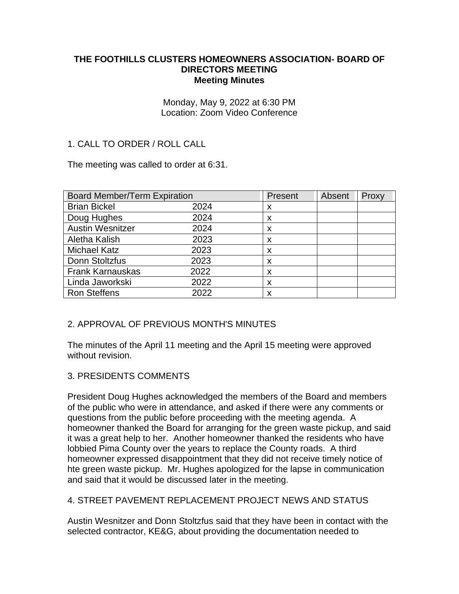#### **THE FOOTHILLS CLUSTERS HOMEOWNERS ASSOCIATION- BOARD OF DIRECTORS MEETING Meeting Minutes**

Monday, May 9, 2022 at 6:30 PM Location: Zoom Video Conference

# 1. CALL TO ORDER / ROLL CALL

The meeting was called to order at 6:31.

| <b>Board Member/Term Expiration</b> |      | Present | Absent | Proxy |
|-------------------------------------|------|---------|--------|-------|
| <b>Brian Bickel</b>                 | 2024 | x       |        |       |
| Doug Hughes                         | 2024 | X       |        |       |
| <b>Austin Wesnitzer</b>             | 2024 | X       |        |       |
| Aletha Kalish                       | 2023 | X       |        |       |
| <b>Michael Katz</b>                 | 2023 | X       |        |       |
| Donn Stoltzfus                      | 2023 | X       |        |       |
| <b>Frank Karnauskas</b>             | 2022 | X       |        |       |
| Linda Jaworkski                     | 2022 | X       |        |       |
| <b>Ron Steffens</b>                 | 2022 | X       |        |       |

### 2. APPROVAL OF PREVIOUS MONTH'S MINUTES

The minutes of the April 11 meeting and the April 15 meeting were approved without revision.

### 3. PRESIDENTS COMMENTS

President Doug Hughes acknowledged the members of the Board and members of the public who were in attendance, and asked if there were any comments or questions from the public before proceeding with the meeting agenda. A homeowner thanked the Board for arranging for the green waste pickup, and said it was a great help to her. Another homeowner thanked the residents who have lobbied Pima County over the years to replace the County roads. A third homeowner expressed disappointment that they did not receive timely notice of hte green waste pickup. Mr. Hughes apologized for the lapse in communication and said that it would be discussed later in the meeting.

### 4. STREET PAVEMENT REPLACEMENT PROJECT NEWS AND STATUS

Austin Wesnitzer and Donn Stoltzfus said that they have been in contact with the selected contractor, KE&G, about providing the documentation needed to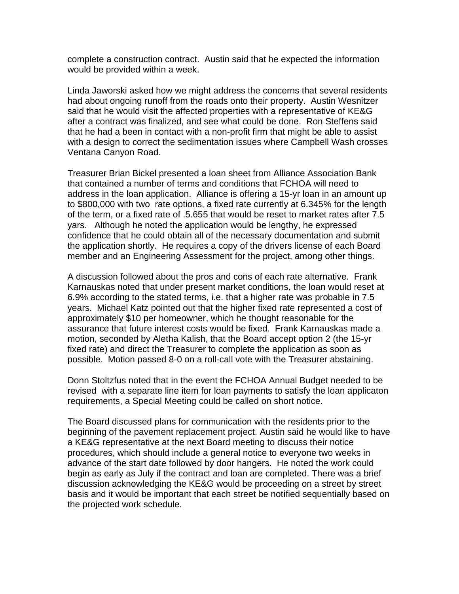complete a construction contract. Austin said that he expected the information would be provided within a week.

Linda Jaworski asked how we might address the concerns that several residents had about ongoing runoff from the roads onto their property. Austin Wesnitzer said that he would visit the affected properties with a representative of KE&G after a contract was finalized, and see what could be done. Ron Steffens said that he had a been in contact with a non-profit firm that might be able to assist with a design to correct the sedimentation issues where Campbell Wash crosses Ventana Canyon Road.

Treasurer Brian Bickel presented a loan sheet from Alliance Association Bank that contained a number of terms and conditions that FCHOA will need to address in the loan application. Alliance is offering a 15-yr loan in an amount up to \$800,000 with two rate options, a fixed rate currently at 6.345% for the length of the term, or a fixed rate of .5.655 that would be reset to market rates after 7.5 yars. Although he noted the application would be lengthy, he expressed confidence that he could obtain all of the necessary documentation and submit the application shortly. He requires a copy of the drivers license of each Board member and an Engineering Assessment for the project, among other things.

A discussion followed about the pros and cons of each rate alternative. Frank Karnauskas noted that under present market conditions, the loan would reset at 6.9% according to the stated terms, i.e. that a higher rate was probable in 7.5 years. Michael Katz pointed out that the higher fixed rate represented a cost of approximately \$10 per homeowner, which he thought reasonable for the assurance that future interest costs would be fixed. Frank Karnauskas made a motion, seconded by Aletha Kalish, that the Board accept option 2 (the 15-yr fixed rate) and direct the Treasurer to complete the application as soon as possible. Motion passed 8-0 on a roll-call vote with the Treasurer abstaining.

Donn Stoltzfus noted that in the event the FCHOA Annual Budget needed to be revised with a separate line item for loan payments to satisfy the loan applicaton requirements, a Special Meeting could be called on short notice.

The Board discussed plans for communication with the residents prior to the beginning of the pavement replacement project. Austin said he would like to have a KE&G representative at the next Board meeting to discuss their notice procedures, which should include a general notice to everyone two weeks in advance of the start date followed by door hangers. He noted the work could begin as early as July if the contract and loan are completed. There was a brief discussion acknowledging the KE&G would be proceeding on a street by street basis and it would be important that each street be notified sequentially based on the projected work schedule.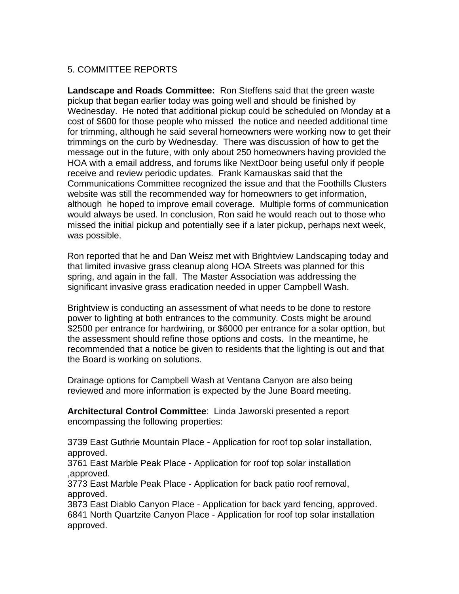# 5. COMMITTEE REPORTS

**Landscape and Roads Committee:** Ron Steffens said that the green waste pickup that began earlier today was going well and should be finished by Wednesday. He noted that additional pickup could be scheduled on Monday at a cost of \$600 for those people who missed the notice and needed additional time for trimming, although he said several homeowners were working now to get their trimmings on the curb by Wednesday. There was discussion of how to get the message out in the future, with only about 250 homeowners having provided the HOA with a email address, and forums like NextDoor being useful only if people receive and review periodic updates. Frank Karnauskas said that the Communications Committee recognized the issue and that the Foothills Clusters website was still the recommended way for homeowners to get information, although he hoped to improve email coverage. Multiple forms of communication would always be used. In conclusion, Ron said he would reach out to those who missed the initial pickup and potentially see if a later pickup, perhaps next week, was possible.

Ron reported that he and Dan Weisz met with Brightview Landscaping today and that limited invasive grass cleanup along HOA Streets was planned for this spring, and again in the fall. The Master Association was addressing the significant invasive grass eradication needed in upper Campbell Wash.

Brightview is conducting an assessment of what needs to be done to restore power to lighting at both entrances to the community. Costs might be around \$2500 per entrance for hardwiring, or \$6000 per entrance for a solar opttion, but the assessment should refine those options and costs. In the meantime, he recommended that a notice be given to residents that the lighting is out and that the Board is working on solutions.

Drainage options for Campbell Wash at Ventana Canyon are also being reviewed and more information is expected by the June Board meeting.

**Architectural Control Committee**: Linda Jaworski presented a report encompassing the following properties:

3739 East Guthrie Mountain Place - Application for roof top solar installation, approved.

3761 East Marble Peak Place - Application for roof top solar installation ,approved.

3773 East Marble Peak Place - Application for back patio roof removal, approved.

3873 East Diablo Canyon Place - Application for back yard fencing, approved. 6841 North Quartzite Canyon Place - Application for roof top solar installation approved.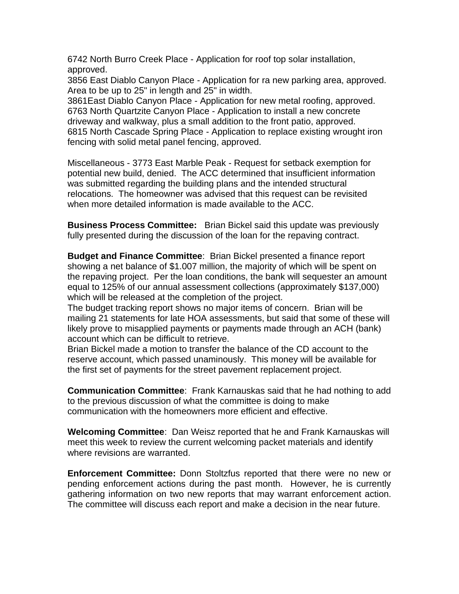6742 North Burro Creek Place - Application for roof top solar installation, approved.

3856 East Diablo Canyon Place - Application for ra new parking area, approved. Area to be up to 25" in length and 25" in width.

3861East Diablo Canyon Place - Application for new metal roofing, approved. 6763 North Quartzite Canyon Place - Application to install a new concrete driveway and walkway, plus a small addition to the front patio, approved. 6815 North Cascade Spring Place - Application to replace existing wrought iron fencing with solid metal panel fencing, approved.

Miscellaneous - 3773 East Marble Peak - Request for setback exemption for potential new build, denied. The ACC determined that insufficient information was submitted regarding the building plans and the intended structural relocations. The homeowner was advised that this request can be revisited when more detailed information is made available to the ACC.

**Business Process Committee:** Brian Bickel said this update was previously fully presented during the discussion of the loan for the repaving contract.

**Budget and Finance Committee**: Brian Bickel presented a finance report showing a net balance of \$1.007 million, the majority of which will be spent on the repaving project. Per the loan conditions, the bank will sequester an amount equal to 125% of our annual assessment collections (approximately \$137,000) which will be released at the completion of the project.

The budget tracking report shows no major items of concern. Brian will be mailing 21 statements for late HOA assessments, but said that some of these will likely prove to misapplied payments or payments made through an ACH (bank) account which can be difficult to retrieve.

Brian Bickel made a motion to transfer the balance of the CD account to the reserve account, which passed unaminously. This money will be available for the first set of payments for the street pavement replacement project.

**Communication Committee**: Frank Karnauskas said that he had nothing to add to the previous discussion of what the committee is doing to make communication with the homeowners more efficient and effective.

**Welcoming Committee**: Dan Weisz reported that he and Frank Karnauskas will meet this week to review the current welcoming packet materials and identify where revisions are warranted.

**Enforcement Committee:** Donn Stoltzfus reported that there were no new or pending enforcement actions during the past month. However, he is currently gathering information on two new reports that may warrant enforcement action. The committee will discuss each report and make a decision in the near future.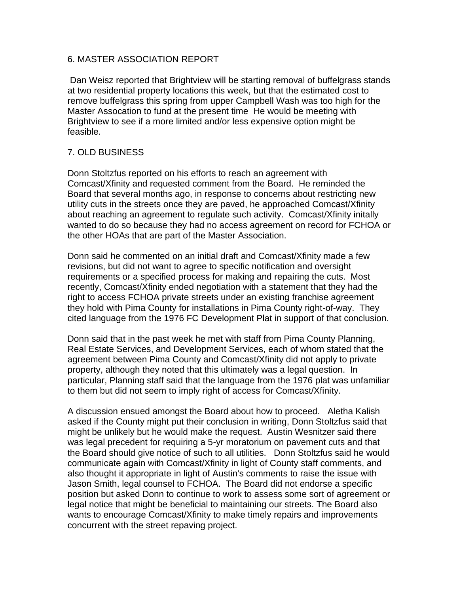#### 6. MASTER ASSOCIATION REPORT

Dan Weisz reported that Brightview will be starting removal of buffelgrass stands at two residential property locations this week, but that the estimated cost to remove buffelgrass this spring from upper Campbell Wash was too high for the Master Assocation to fund at the present time He would be meeting with Brightview to see if a more limited and/or less expensive option might be feasible.

## 7. OLD BUSINESS

Donn Stoltzfus reported on his efforts to reach an agreement with Comcast/Xfinity and requested comment from the Board. He reminded the Board that several months ago, in response to concerns about restricting new utility cuts in the streets once they are paved, he approached Comcast/Xfinity about reaching an agreement to regulate such activity. Comcast/Xfinity initally wanted to do so because they had no access agreement on record for FCHOA or the other HOAs that are part of the Master Association.

Donn said he commented on an initial draft and Comcast/Xfinity made a few revisions, but did not want to agree to specific notification and oversight requirements or a specified process for making and repairing the cuts. Most recently, Comcast/Xfinity ended negotiation with a statement that they had the right to access FCHOA private streets under an existing franchise agreement they hold with Pima County for installations in Pima County right-of-way. They cited language from the 1976 FC Development Plat in support of that conclusion.

Donn said that in the past week he met with staff from Pima County Planning, Real Estate Services, and Development Services, each of whom stated that the agreement between Pima County and Comcast/Xfinity did not apply to private property, although they noted that this ultimately was a legal question. In particular, Planning staff said that the language from the 1976 plat was unfamiliar to them but did not seem to imply right of access for Comcast/Xfinity.

A discussion ensued amongst the Board about how to proceed. Aletha Kalish asked if the County might put their conclusion in writing, Donn Stoltzfus said that might be unlikely but he would make the request. Austin Wesnitzer said there was legal precedent for requiring a 5-yr moratorium on pavement cuts and that the Board should give notice of such to all utilities. Donn Stoltzfus said he would communicate again with Comcast/Xfinity in light of County staff comments, and also thought it appropriate in light of Austin's comments to raise the issue with Jason Smith, legal counsel to FCHOA. The Board did not endorse a specific position but asked Donn to continue to work to assess some sort of agreement or legal notice that might be beneficial to maintaining our streets. The Board also wants to encourage Comcast/Xfinity to make timely repairs and improvements concurrent with the street repaving project.